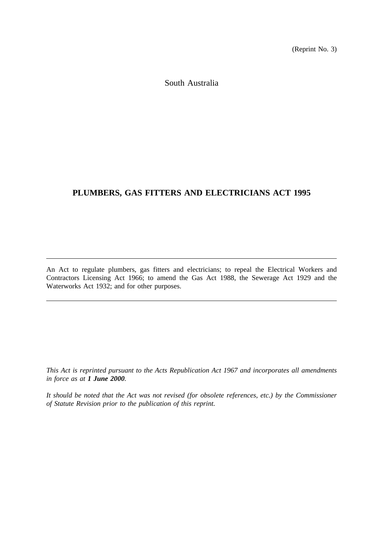(Reprint No. 3)

South Australia

# **PLUMBERS, GAS FITTERS AND ELECTRICIANS ACT 1995**

An Act to regulate plumbers, gas fitters and electricians; to repeal the Electrical Workers and Contractors Licensing Act 1966; to amend the Gas Act 1988, the Sewerage Act 1929 and the Waterworks Act 1932; and for other purposes.

*This Act is reprinted pursuant to the Acts Republication Act 1967 and incorporates all amendments in force as at 1 June 2000.*

*It should be noted that the Act was not revised (for obsolete references, etc.) by the Commissioner of Statute Revision prior to the publication of this reprint.*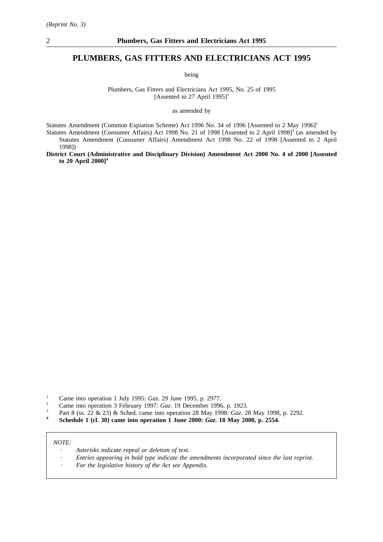### **PLUMBERS, GAS FITTERS AND ELECTRICIANS ACT 1995**

being

Plumbers, Gas Fitters and Electricians Act 1995, No. 25 of 1995 [Assented to 27 April 1995]<sup>1</sup>

as amended by

Statutes Amendment (Common Expiation Scheme) Act 1996 No. 34 of 1996 [Assented to 2 May 1996]<sup>2</sup>

Statutes Amendment (Consumer Affairs) Act 1998 No. 21 of 1998 [Assented to 2 April 1998]<sup>3</sup> (as amended by Statutes Amendment (Consumer Affairs) Amendment Act 1998 No. 22 of 1998 [Assented to 2 April 1998])

**District Court (Administrative and Disciplinary Division) Amendment Act 2000 No. 4 of 2000 [Assented to 20 April 2000]4**

- <sup>1</sup> Came into operation 1 July 1995: *Gaz.* 29 June 1995, p. 2977.
- <sup>2</sup> Came into operation 3 February 1997: *Gaz*. 19 December 1996, p. 1923.
- <sup>3</sup> Part 8 (ss. 22 & 23) & Sched. came into operation 28 May 1998: *Gaz*. 28 May 1998, p. 2292.
- **<sup>4</sup> Schedule 1 (cl. 30) came into operation 1 June 2000:** *Gaz***. 18 May 2000, p. 2554.**

#### *NOTE:*

- *Asterisks indicate repeal or deletion of text.*
- *Entries appearing in bold type indicate the amendments incorporated since the last reprint.*
- *For the legislative history of the Act see Appendix.*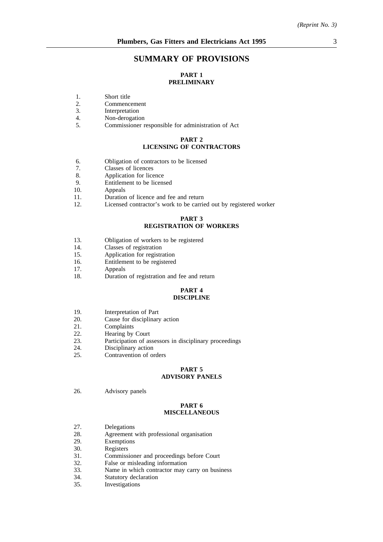# **SUMMARY OF PROVISIONS**

# **PART 1 PRELIMINARY**

- 1. Short title<br>2. Commence
- 2. Commencement<br>3. Interpretation
- 3. Interpretation<br>4. Non-derogation
- 4. Non-derogation<br>5. Commissioner r
- 5. Commissioner responsible for administration of Act

#### **PART 2 LICENSING OF CONTRACTORS**

- 6. Obligation of contractors to be licensed<br>7. Classes of licences
- 7. Classes of licences<br>8. Application for lice
- 8. Application for licence<br>9. Entitlement to be licens
- Entitlement to be licensed
- 10. Appeals
- 11. Duration of licence and fee and return
- 12. Licensed contractor's work to be carried out by registered worker

#### **PART 3 REGISTRATION OF WORKERS**

- 13. Obligation of workers to be registered
- 14. Classes of registration
- 15. Application for registration
- 16. Entitlement to be registered
- 17. Appeals
- 18. Duration of registration and fee and return

#### **PART 4 DISCIPLINE**

- 19. Interpretation of Part
- 20. Cause for disciplinary action
- 21. Complaints
- 22. Hearing by Court
- 23. Participation of assessors in disciplinary proceedings 24.
- 24. Disciplinary action<br>25. Contravention of on
- Contravention of orders

# **PART 5**

# **ADVISORY PANELS**

26. Advisory panels

#### **PART 6 MISCELLANEOUS**

- 27. Delegations<br>28. Agreement
- Agreement with professional organisation
- 29. Exemptions
- 30. Registers
- 31. Commissioner and proceedings before Court
- 32. False or misleading information<br>33. Name in which contractor may
- 33. Name in which contractor may carry on business<br>34. Statutory declaration
- 34. Statutory declaration<br>35. Investigations
- Investigations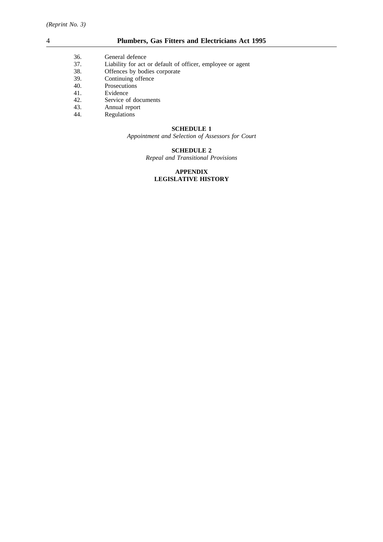| 36. | General defence |  |
|-----|-----------------|--|
|     |                 |  |

- 37. Liability for act or default of officer, employee or agent 38. Offences by bodies corporate
- 38. Offences by bodies corporate<br>39. Continuing offence
- 39. Continuing offence
- 40. Prosecutions<br>41. Evidence
- 41. Evidence<br>42. Service o
- Service of documents
- 43. Annual report<br>44. Regulations
- **Regulations**

#### **SCHEDULE 1**

*Appointment and Selection of Assessors for Court*

#### **SCHEDULE 2**

*Repeal and Transitional Provisions*

#### **APPENDIX LEGISLATIVE HISTORY**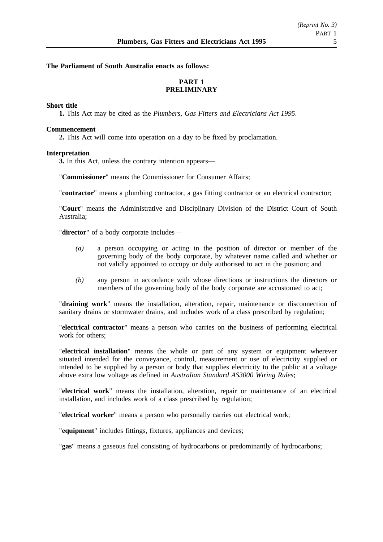### **The Parliament of South Australia enacts as follows:**

# **PART 1 PRELIMINARY**

### **Short title**

**1.** This Act may be cited as the *Plumbers, Gas Fitters and Electricians Act 1995*.

#### **Commencement**

**2.** This Act will come into operation on a day to be fixed by proclamation.

#### **Interpretation**

**3.** In this Act, unless the contrary intention appears—

"**Commissioner**" means the Commissioner for Consumer Affairs;

"**contractor**" means a plumbing contractor, a gas fitting contractor or an electrical contractor;

"**Court**" means the Administrative and Disciplinary Division of the District Court of South Australia;

"**director**" of a body corporate includes—

- *(a)* a person occupying or acting in the position of director or member of the governing body of the body corporate, by whatever name called and whether or not validly appointed to occupy or duly authorised to act in the position; and
- *(b)* any person in accordance with whose directions or instructions the directors or members of the governing body of the body corporate are accustomed to act;

"**draining work**" means the installation, alteration, repair, maintenance or disconnection of sanitary drains or stormwater drains, and includes work of a class prescribed by regulation;

"**electrical contractor**" means a person who carries on the business of performing electrical work for others;

"**electrical installation**" means the whole or part of any system or equipment wherever situated intended for the conveyance, control, measurement or use of electricity supplied or intended to be supplied by a person or body that supplies electricity to the public at a voltage above extra low voltage as defined in *Australian Standard AS3000 Wiring Rules*;

"**electrical work**" means the installation, alteration, repair or maintenance of an electrical installation, and includes work of a class prescribed by regulation;

"**electrical worker**" means a person who personally carries out electrical work;

"**equipment**" includes fittings, fixtures, appliances and devices;

"**gas**" means a gaseous fuel consisting of hydrocarbons or predominantly of hydrocarbons;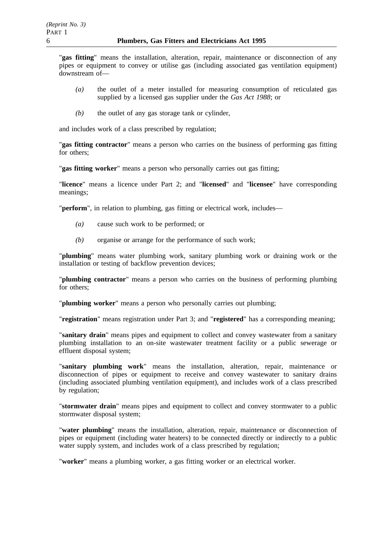"**gas fitting**" means the installation, alteration, repair, maintenance or disconnection of any pipes or equipment to convey or utilise gas (including associated gas ventilation equipment) downstream of—

- *(a)* the outlet of a meter installed for measuring consumption of reticulated gas supplied by a licensed gas supplier under the *Gas Act 1988*; or
- *(b)* the outlet of any gas storage tank or cylinder,

and includes work of a class prescribed by regulation;

"**gas fitting contractor**" means a person who carries on the business of performing gas fitting for others;

"**gas fitting worker**" means a person who personally carries out gas fitting;

"**licence**" means a licence under Part 2; and "**licensed**" and "**licensee**" have corresponding meanings;

"**perform**", in relation to plumbing, gas fitting or electrical work, includes—

- *(a)* cause such work to be performed; or
- *(b)* organise or arrange for the performance of such work;

"**plumbing**" means water plumbing work, sanitary plumbing work or draining work or the installation or testing of backflow prevention devices;

"**plumbing contractor**" means a person who carries on the business of performing plumbing for others;

"**plumbing worker**" means a person who personally carries out plumbing;

"**registration**" means registration under Part 3; and "**registered**" has a corresponding meaning;

"**sanitary drain**" means pipes and equipment to collect and convey wastewater from a sanitary plumbing installation to an on-site wastewater treatment facility or a public sewerage or effluent disposal system;

"**sanitary plumbing work**" means the installation, alteration, repair, maintenance or disconnection of pipes or equipment to receive and convey wastewater to sanitary drains (including associated plumbing ventilation equipment), and includes work of a class prescribed by regulation;

"**stormwater drain**" means pipes and equipment to collect and convey stormwater to a public stormwater disposal system;

"**water plumbing**" means the installation, alteration, repair, maintenance or disconnection of pipes or equipment (including water heaters) to be connected directly or indirectly to a public water supply system, and includes work of a class prescribed by regulation;

"**worker**" means a plumbing worker, a gas fitting worker or an electrical worker.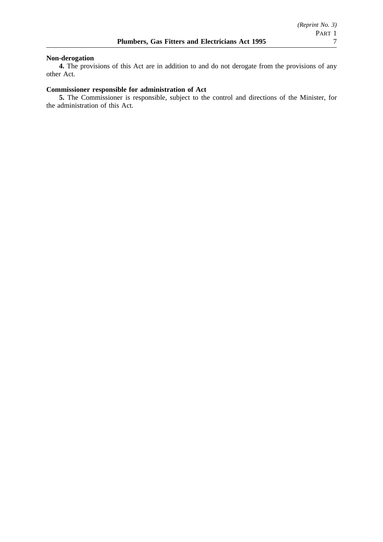# **Non-derogation**

**4.** The provisions of this Act are in addition to and do not derogate from the provisions of any other Act.

## **Commissioner responsible for administration of Act**

**5.** The Commissioner is responsible, subject to the control and directions of the Minister, for the administration of this Act.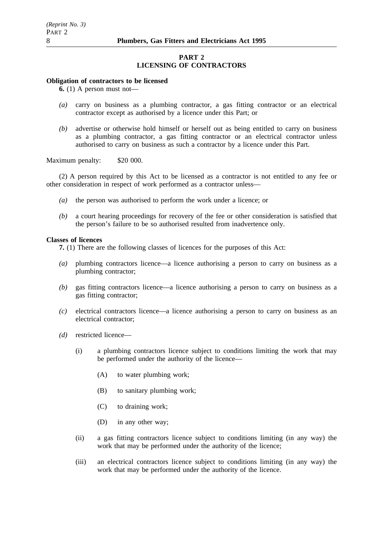### **PART 2 LICENSING OF CONTRACTORS**

#### **Obligation of contractors to be licensed**

 $\overline{6}$ . (1) A person must not—

- *(a)* carry on business as a plumbing contractor, a gas fitting contractor or an electrical contractor except as authorised by a licence under this Part; or
- *(b)* advertise or otherwise hold himself or herself out as being entitled to carry on business as a plumbing contractor, a gas fitting contractor or an electrical contractor unless authorised to carry on business as such a contractor by a licence under this Part.

Maximum penalty: \$20 000.

(2) A person required by this Act to be licensed as a contractor is not entitled to any fee or other consideration in respect of work performed as a contractor unless—

- *(a)* the person was authorised to perform the work under a licence; or
- *(b)* a court hearing proceedings for recovery of the fee or other consideration is satisfied that the person's failure to be so authorised resulted from inadvertence only.

#### **Classes of licences**

**7.** (1) There are the following classes of licences for the purposes of this Act:

- *(a)* plumbing contractors licence—a licence authorising a person to carry on business as a plumbing contractor;
- *(b)* gas fitting contractors licence—a licence authorising a person to carry on business as a gas fitting contractor;
- *(c)* electrical contractors licence—a licence authorising a person to carry on business as an electrical contractor;
- *(d)* restricted licence—
	- (i) a plumbing contractors licence subject to conditions limiting the work that may be performed under the authority of the licence—
		- (A) to water plumbing work;
		- (B) to sanitary plumbing work;
		- (C) to draining work;
		- (D) in any other way;
	- (ii) a gas fitting contractors licence subject to conditions limiting (in any way) the work that may be performed under the authority of the licence;
	- (iii) an electrical contractors licence subject to conditions limiting (in any way) the work that may be performed under the authority of the licence.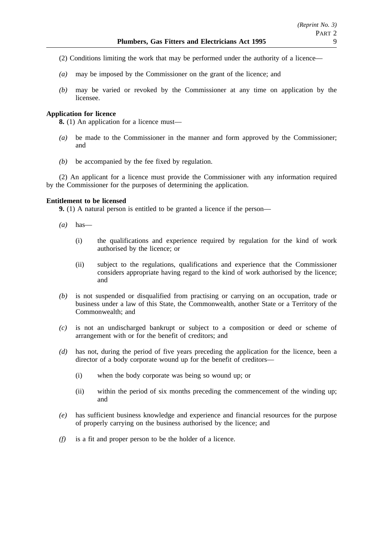- (2) Conditions limiting the work that may be performed under the authority of a licence—
- *(a)* may be imposed by the Commissioner on the grant of the licence; and
- *(b)* may be varied or revoked by the Commissioner at any time on application by the licensee.

### **Application for licence**

**8.** (1) An application for a licence must—

- *(a)* be made to the Commissioner in the manner and form approved by the Commissioner; and
- *(b)* be accompanied by the fee fixed by regulation.

(2) An applicant for a licence must provide the Commissioner with any information required by the Commissioner for the purposes of determining the application.

### **Entitlement to be licensed**

**9.** (1) A natural person is entitled to be granted a licence if the person—

- *(a)* has—
	- (i) the qualifications and experience required by regulation for the kind of work authorised by the licence; or
	- (ii) subject to the regulations, qualifications and experience that the Commissioner considers appropriate having regard to the kind of work authorised by the licence; and
- *(b)* is not suspended or disqualified from practising or carrying on an occupation, trade or business under a law of this State, the Commonwealth, another State or a Territory of the Commonwealth; and
- *(c)* is not an undischarged bankrupt or subject to a composition or deed or scheme of arrangement with or for the benefit of creditors; and
- *(d)* has not, during the period of five years preceding the application for the licence, been a director of a body corporate wound up for the benefit of creditors—
	- (i) when the body corporate was being so wound up; or
	- (ii) within the period of six months preceding the commencement of the winding up; and
- *(e)* has sufficient business knowledge and experience and financial resources for the purpose of properly carrying on the business authorised by the licence; and
- *(f)* is a fit and proper person to be the holder of a licence.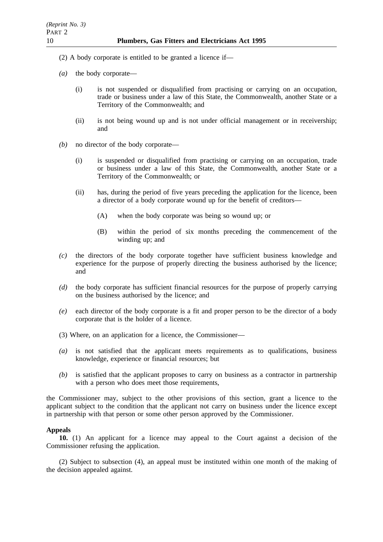- (2) A body corporate is entitled to be granted a licence if—
- *(a)* the body corporate—
	- (i) is not suspended or disqualified from practising or carrying on an occupation, trade or business under a law of this State, the Commonwealth, another State or a Territory of the Commonwealth; and
	- (ii) is not being wound up and is not under official management or in receivership; and
- *(b)* no director of the body corporate—
	- (i) is suspended or disqualified from practising or carrying on an occupation, trade or business under a law of this State, the Commonwealth, another State or a Territory of the Commonwealth; or
	- (ii) has, during the period of five years preceding the application for the licence, been a director of a body corporate wound up for the benefit of creditors—
		- (A) when the body corporate was being so wound up; or
		- (B) within the period of six months preceding the commencement of the winding up; and
- *(c)* the directors of the body corporate together have sufficient business knowledge and experience for the purpose of properly directing the business authorised by the licence; and
- *(d)* the body corporate has sufficient financial resources for the purpose of properly carrying on the business authorised by the licence; and
- *(e)* each director of the body corporate is a fit and proper person to be the director of a body corporate that is the holder of a licence.
- (3) Where, on an application for a licence, the Commissioner—
- *(a)* is not satisfied that the applicant meets requirements as to qualifications, business knowledge, experience or financial resources; but
- *(b)* is satisfied that the applicant proposes to carry on business as a contractor in partnership with a person who does meet those requirements,

the Commissioner may, subject to the other provisions of this section, grant a licence to the applicant subject to the condition that the applicant not carry on business under the licence except in partnership with that person or some other person approved by the Commissioner.

## **Appeals**

**10.** (1) An applicant for a licence may appeal to the Court against a decision of the Commissioner refusing the application.

(2) Subject to subsection (4), an appeal must be instituted within one month of the making of the decision appealed against.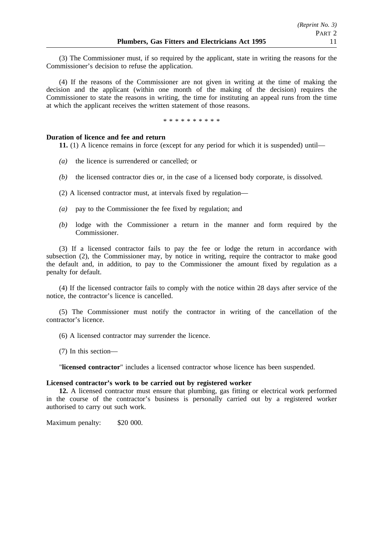(3) The Commissioner must, if so required by the applicant, state in writing the reasons for the Commissioner's decision to refuse the application.

(4) If the reasons of the Commissioner are not given in writing at the time of making the decision and the applicant (within one month of the making of the decision) requires the Commissioner to state the reasons in writing, the time for instituting an appeal runs from the time at which the applicant receives the written statement of those reasons.

\* \* \* \* \* \* \* \* \*

### **Duration of licence and fee and return**

**11.** (1) A licence remains in force (except for any period for which it is suspended) until—

- *(a)* the licence is surrendered or cancelled; or
- *(b)* the licensed contractor dies or, in the case of a licensed body corporate, is dissolved.
- (2) A licensed contractor must, at intervals fixed by regulation—
- *(a)* pay to the Commissioner the fee fixed by regulation; and
- *(b)* lodge with the Commissioner a return in the manner and form required by the Commissioner.

(3) If a licensed contractor fails to pay the fee or lodge the return in accordance with subsection (2), the Commissioner may, by notice in writing, require the contractor to make good the default and, in addition, to pay to the Commissioner the amount fixed by regulation as a penalty for default.

(4) If the licensed contractor fails to comply with the notice within 28 days after service of the notice, the contractor's licence is cancelled.

(5) The Commissioner must notify the contractor in writing of the cancellation of the contractor's licence.

- (6) A licensed contractor may surrender the licence.
- (7) In this section—

"**licensed contractor**" includes a licensed contractor whose licence has been suspended.

### **Licensed contractor's work to be carried out by registered worker**

**12.** A licensed contractor must ensure that plumbing, gas fitting or electrical work performed in the course of the contractor's business is personally carried out by a registered worker authorised to carry out such work.

Maximum penalty: \$20 000.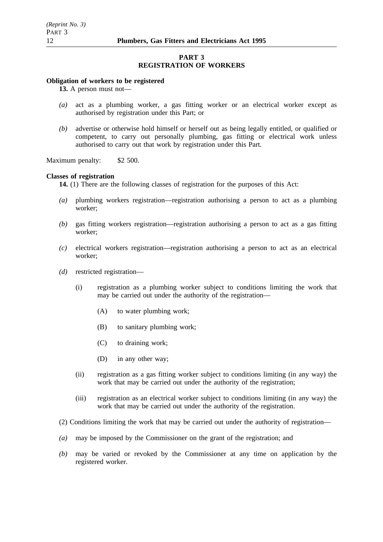### **PART 3 REGISTRATION OF WORKERS**

#### **Obligation of workers to be registered**

**13.** A person must not—

- *(a)* act as a plumbing worker, a gas fitting worker or an electrical worker except as authorised by registration under this Part; or
- *(b)* advertise or otherwise hold himself or herself out as being legally entitled, or qualified or competent, to carry out personally plumbing, gas fitting or electrical work unless authorised to carry out that work by registration under this Part.

Maximum penalty: \$2 500.

#### **Classes of registration**

**14.** (1) There are the following classes of registration for the purposes of this Act:

- *(a)* plumbing workers registration—registration authorising a person to act as a plumbing worker;
- *(b)* gas fitting workers registration—registration authorising a person to act as a gas fitting worker;
- *(c)* electrical workers registration—registration authorising a person to act as an electrical worker;
- *(d)* restricted registration—
	- (i) registration as a plumbing worker subject to conditions limiting the work that may be carried out under the authority of the registration—
		- (A) to water plumbing work;
		- (B) to sanitary plumbing work;
		- (C) to draining work;
		- (D) in any other way;
	- (ii) registration as a gas fitting worker subject to conditions limiting (in any way) the work that may be carried out under the authority of the registration;
	- (iii) registration as an electrical worker subject to conditions limiting (in any way) the work that may be carried out under the authority of the registration.
- (2) Conditions limiting the work that may be carried out under the authority of registration—
- *(a)* may be imposed by the Commissioner on the grant of the registration; and
- *(b)* may be varied or revoked by the Commissioner at any time on application by the registered worker.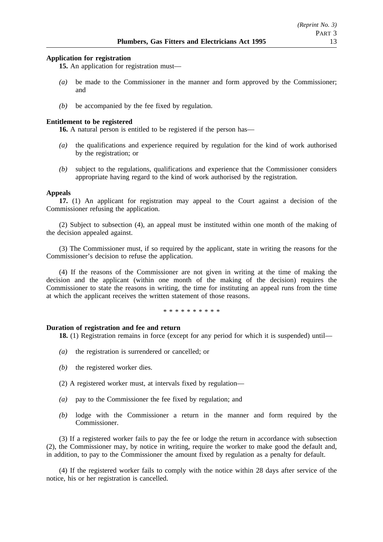### **Application for registration**

**15.** An application for registration must—

- *(a)* be made to the Commissioner in the manner and form approved by the Commissioner; and
- *(b)* be accompanied by the fee fixed by regulation.

### **Entitlement to be registered**

**16.** A natural person is entitled to be registered if the person has—

- *(a)* the qualifications and experience required by regulation for the kind of work authorised by the registration; or
- *(b)* subject to the regulations, qualifications and experience that the Commissioner considers appropriate having regard to the kind of work authorised by the registration.

### **Appeals**

**17.** (1) An applicant for registration may appeal to the Court against a decision of the Commissioner refusing the application.

(2) Subject to subsection (4), an appeal must be instituted within one month of the making of the decision appealed against.

(3) The Commissioner must, if so required by the applicant, state in writing the reasons for the Commissioner's decision to refuse the application.

(4) If the reasons of the Commissioner are not given in writing at the time of making the decision and the applicant (within one month of the making of the decision) requires the Commissioner to state the reasons in writing, the time for instituting an appeal runs from the time at which the applicant receives the written statement of those reasons.

\*\*\*\*\*\*\*\*\*\*

### **Duration of registration and fee and return**

**18.** (1) Registration remains in force (except for any period for which it is suspended) until—

- *(a)* the registration is surrendered or cancelled; or
- *(b)* the registered worker dies.
- (2) A registered worker must, at intervals fixed by regulation—
- *(a)* pay to the Commissioner the fee fixed by regulation; and
- *(b)* lodge with the Commissioner a return in the manner and form required by the Commissioner.

(3) If a registered worker fails to pay the fee or lodge the return in accordance with subsection (2), the Commissioner may, by notice in writing, require the worker to make good the default and, in addition, to pay to the Commissioner the amount fixed by regulation as a penalty for default.

(4) If the registered worker fails to comply with the notice within 28 days after service of the notice, his or her registration is cancelled.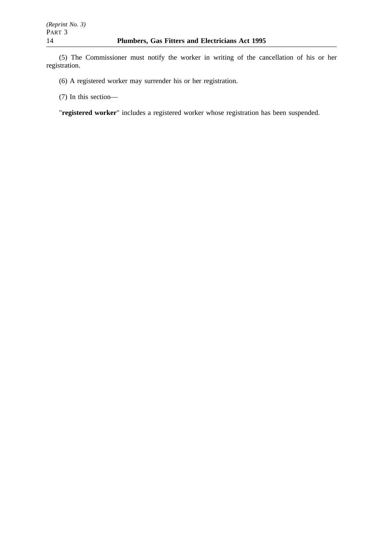(5) The Commissioner must notify the worker in writing of the cancellation of his or her registration.

(6) A registered worker may surrender his or her registration.

(7) In this section—

"**registered worker**" includes a registered worker whose registration has been suspended.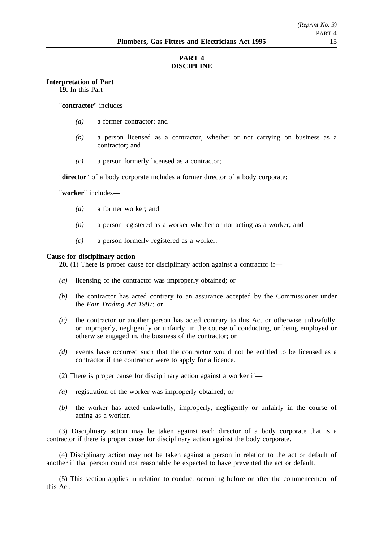# **PART 4 DISCIPLINE**

### **Interpretation of Part**

**19.** In this Part—

"**contractor**" includes—

- *(a)* a former contractor; and
- *(b)* a person licensed as a contractor, whether or not carrying on business as a contractor; and
- *(c)* a person formerly licensed as a contractor;

"**director**" of a body corporate includes a former director of a body corporate;

"**worker**" includes—

- *(a)* a former worker; and
- *(b)* a person registered as a worker whether or not acting as a worker; and
- *(c)* a person formerly registered as a worker.

### **Cause for disciplinary action**

**20.** (1) There is proper cause for disciplinary action against a contractor if—

- *(a)* licensing of the contractor was improperly obtained; or
- *(b)* the contractor has acted contrary to an assurance accepted by the Commissioner under the *Fair Trading Act 1987*; or
- *(c)* the contractor or another person has acted contrary to this Act or otherwise unlawfully, or improperly, negligently or unfairly, in the course of conducting, or being employed or otherwise engaged in, the business of the contractor; or
- *(d)* events have occurred such that the contractor would not be entitled to be licensed as a contractor if the contractor were to apply for a licence.
- (2) There is proper cause for disciplinary action against a worker if—
- *(a)* registration of the worker was improperly obtained; or
- *(b)* the worker has acted unlawfully, improperly, negligently or unfairly in the course of acting as a worker.

(3) Disciplinary action may be taken against each director of a body corporate that is a contractor if there is proper cause for disciplinary action against the body corporate.

(4) Disciplinary action may not be taken against a person in relation to the act or default of another if that person could not reasonably be expected to have prevented the act or default.

(5) This section applies in relation to conduct occurring before or after the commencement of this Act.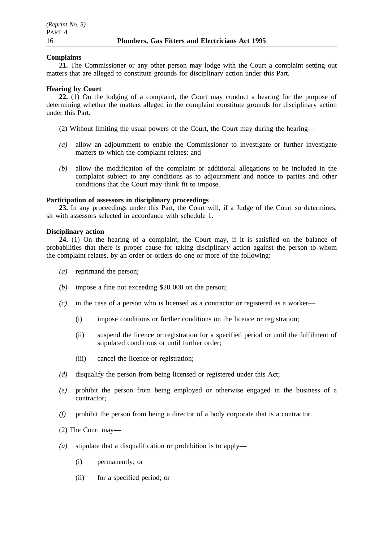### **Complaints**

**21.** The Commissioner or any other person may lodge with the Court a complaint setting out matters that are alleged to constitute grounds for disciplinary action under this Part.

#### **Hearing by Court**

**22.** (1) On the lodging of a complaint, the Court may conduct a hearing for the purpose of determining whether the matters alleged in the complaint constitute grounds for disciplinary action under this Part.

- (2) Without limiting the usual powers of the Court, the Court may during the hearing—
- *(a)* allow an adjournment to enable the Commissioner to investigate or further investigate matters to which the complaint relates; and
- *(b)* allow the modification of the complaint or additional allegations to be included in the complaint subject to any conditions as to adjournment and notice to parties and other conditions that the Court may think fit to impose.

#### **Participation of assessors in disciplinary proceedings**

**23.** In any proceedings under this Part, the Court will, if a Judge of the Court so determines, sit with assessors selected in accordance with schedule 1.

#### **Disciplinary action**

**24.** (1) On the hearing of a complaint, the Court may, if it is satisfied on the balance of probabilities that there is proper cause for taking disciplinary action against the person to whom the complaint relates, by an order or orders do one or more of the following:

- *(a)* reprimand the person;
- *(b)* impose a fine not exceeding \$20 000 on the person;
- *(c)* in the case of a person who is licensed as a contractor or registered as a worker—
	- (i) impose conditions or further conditions on the licence or registration;
	- (ii) suspend the licence or registration for a specified period or until the fulfilment of stipulated conditions or until further order;
	- (iii) cancel the licence or registration;
- *(d)* disqualify the person from being licensed or registered under this Act;
- *(e)* prohibit the person from being employed or otherwise engaged in the business of a contractor;
- *(f)* prohibit the person from being a director of a body corporate that is a contractor.
- (2) The Court may—
- *(a)* stipulate that a disqualification or prohibition is to apply—
	- (i) permanently; or
	- (ii) for a specified period; or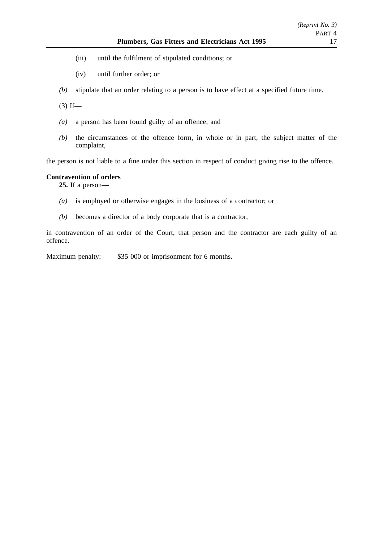- (iii) until the fulfilment of stipulated conditions; or
- (iv) until further order; or
- *(b)* stipulate that an order relating to a person is to have effect at a specified future time.

 $(3)$  If—

- *(a)* a person has been found guilty of an offence; and
- *(b)* the circumstances of the offence form, in whole or in part, the subject matter of the complaint,

the person is not liable to a fine under this section in respect of conduct giving rise to the offence.

### **Contravention of orders**

**25.** If a person—

- *(a)* is employed or otherwise engages in the business of a contractor; or
- *(b)* becomes a director of a body corporate that is a contractor,

in contravention of an order of the Court, that person and the contractor are each guilty of an offence.

Maximum penalty: \$35 000 or imprisonment for 6 months.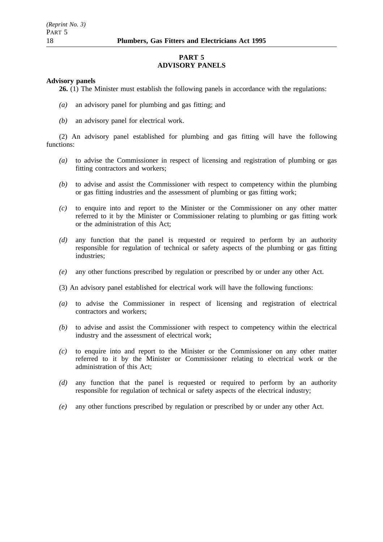### **PART 5 ADVISORY PANELS**

#### **Advisory panels**

**26.** (1) The Minister must establish the following panels in accordance with the regulations:

- *(a)* an advisory panel for plumbing and gas fitting; and
- *(b)* an advisory panel for electrical work.

(2) An advisory panel established for plumbing and gas fitting will have the following functions:

- *(a)* to advise the Commissioner in respect of licensing and registration of plumbing or gas fitting contractors and workers;
- *(b)* to advise and assist the Commissioner with respect to competency within the plumbing or gas fitting industries and the assessment of plumbing or gas fitting work;
- *(c)* to enquire into and report to the Minister or the Commissioner on any other matter referred to it by the Minister or Commissioner relating to plumbing or gas fitting work or the administration of this Act;
- *(d)* any function that the panel is requested or required to perform by an authority responsible for regulation of technical or safety aspects of the plumbing or gas fitting industries;
- *(e)* any other functions prescribed by regulation or prescribed by or under any other Act.
- (3) An advisory panel established for electrical work will have the following functions:
- *(a)* to advise the Commissioner in respect of licensing and registration of electrical contractors and workers;
- *(b)* to advise and assist the Commissioner with respect to competency within the electrical industry and the assessment of electrical work;
- *(c)* to enquire into and report to the Minister or the Commissioner on any other matter referred to it by the Minister or Commissioner relating to electrical work or the administration of this Act;
- *(d)* any function that the panel is requested or required to perform by an authority responsible for regulation of technical or safety aspects of the electrical industry;
- *(e)* any other functions prescribed by regulation or prescribed by or under any other Act.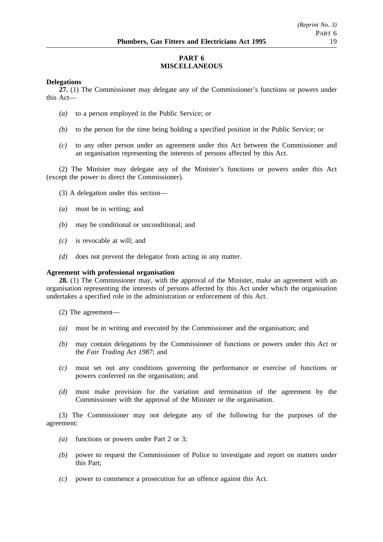# **PART 6 MISCELLANEOUS**

### **Delegations**

**27.** (1) The Commissioner may delegate any of the Commissioner's functions or powers under this Act—

- *(a)* to a person employed in the Public Service; or
- *(b)* to the person for the time being holding a specified position in the Public Service; or
- *(c)* to any other person under an agreement under this Act between the Commissioner and an organisation representing the interests of persons affected by this Act.

(2) The Minister may delegate any of the Minister's functions or powers under this Act (except the power to direct the Commissioner).

- (3) A delegation under this section—
- *(a)* must be in writing; and
- *(b)* may be conditional or unconditional; and
- *(c)* is revocable at will; and
- *(d)* does not prevent the delegator from acting in any matter.

### **Agreement with professional organisation**

**28.** (1) The Commissioner may, with the approval of the Minister, make an agreement with an organisation representing the interests of persons affected by this Act under which the organisation undertakes a specified role in the administration or enforcement of this Act.

- (2) The agreement—
- *(a)* must be in writing and executed by the Commissioner and the organisation; and
- *(b)* may contain delegations by the Commissioner of functions or powers under this Act or the *Fair Trading Act 1987*; and
- *(c)* must set out any conditions governing the performance or exercise of functions or powers conferred on the organisation; and
- *(d)* must make provision for the variation and termination of the agreement by the Commissioner with the approval of the Minister or the organisation.

(3) The Commissioner may not delegate any of the following for the purposes of the agreement:

- *(a)* functions or powers under Part 2 or 3;
- *(b)* power to request the Commissioner of Police to investigate and report on matters under this Part;
- *(c)* power to commence a prosecution for an offence against this Act.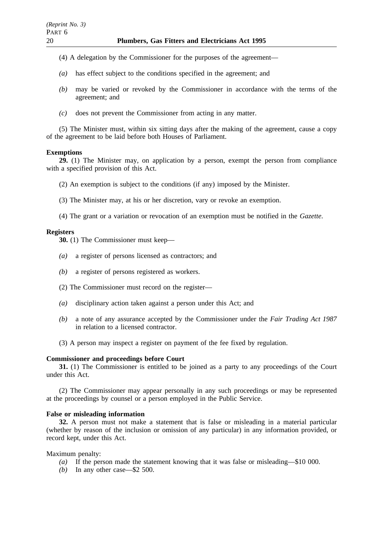- (4) A delegation by the Commissioner for the purposes of the agreement—
- *(a)* has effect subject to the conditions specified in the agreement; and
- *(b)* may be varied or revoked by the Commissioner in accordance with the terms of the agreement; and
- *(c)* does not prevent the Commissioner from acting in any matter.

(5) The Minister must, within six sitting days after the making of the agreement, cause a copy of the agreement to be laid before both Houses of Parliament.

### **Exemptions**

**29.** (1) The Minister may, on application by a person, exempt the person from compliance with a specified provision of this Act.

- (2) An exemption is subject to the conditions (if any) imposed by the Minister.
- (3) The Minister may, at his or her discretion, vary or revoke an exemption.
- (4) The grant or a variation or revocation of an exemption must be notified in the *Gazette*.

### **Registers**

**30.** (1) The Commissioner must keep—

- *(a)* a register of persons licensed as contractors; and
- *(b)* a register of persons registered as workers.
- (2) The Commissioner must record on the register—
- *(a)* disciplinary action taken against a person under this Act; and
- *(b)* a note of any assurance accepted by the Commissioner under the *Fair Trading Act 1987* in relation to a licensed contractor.
- (3) A person may inspect a register on payment of the fee fixed by regulation.

### **Commissioner and proceedings before Court**

**31.** (1) The Commissioner is entitled to be joined as a party to any proceedings of the Court under this Act.

(2) The Commissioner may appear personally in any such proceedings or may be represented at the proceedings by counsel or a person employed in the Public Service.

### **False or misleading information**

**32.** A person must not make a statement that is false or misleading in a material particular (whether by reason of the inclusion or omission of any particular) in any information provided, or record kept, under this Act.

Maximum penalty:

- *(a)* If the person made the statement knowing that it was false or misleading—\$10 000.
- *(b)* In any other case—\$2 500.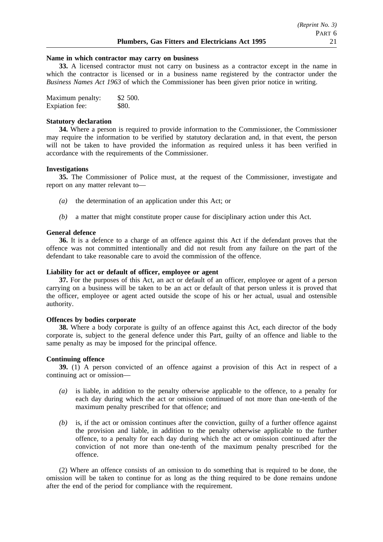#### **Name in which contractor may carry on business**

**33.** A licensed contractor must not carry on business as a contractor except in the name in which the contractor is licensed or in a business name registered by the contractor under the *Business Names Act 1963* of which the Commissioner has been given prior notice in writing.

| Maximum penalty: | \$2 500. |
|------------------|----------|
| Expiation fee:   | \$80.    |

#### **Statutory declaration**

**34.** Where a person is required to provide information to the Commissioner, the Commissioner may require the information to be verified by statutory declaration and, in that event, the person will not be taken to have provided the information as required unless it has been verified in accordance with the requirements of the Commissioner.

#### **Investigations**

**35.** The Commissioner of Police must, at the request of the Commissioner, investigate and report on any matter relevant to—

- *(a)* the determination of an application under this Act; or
- *(b)* a matter that might constitute proper cause for disciplinary action under this Act.

#### **General defence**

**36.** It is a defence to a charge of an offence against this Act if the defendant proves that the offence was not committed intentionally and did not result from any failure on the part of the defendant to take reasonable care to avoid the commission of the offence.

### **Liability for act or default of officer, employee or agent**

**37.** For the purposes of this Act, an act or default of an officer, employee or agent of a person carrying on a business will be taken to be an act or default of that person unless it is proved that the officer, employee or agent acted outside the scope of his or her actual, usual and ostensible authority.

#### **Offences by bodies corporate**

**38.** Where a body corporate is guilty of an offence against this Act, each director of the body corporate is, subject to the general defence under this Part, guilty of an offence and liable to the same penalty as may be imposed for the principal offence.

### **Continuing offence**

**39.** (1) A person convicted of an offence against a provision of this Act in respect of a continuing act or omission—

- *(a)* is liable, in addition to the penalty otherwise applicable to the offence, to a penalty for each day during which the act or omission continued of not more than one-tenth of the maximum penalty prescribed for that offence; and
- *(b)* is, if the act or omission continues after the conviction, guilty of a further offence against the provision and liable, in addition to the penalty otherwise applicable to the further offence, to a penalty for each day during which the act or omission continued after the conviction of not more than one-tenth of the maximum penalty prescribed for the offence.

(2) Where an offence consists of an omission to do something that is required to be done, the omission will be taken to continue for as long as the thing required to be done remains undone after the end of the period for compliance with the requirement.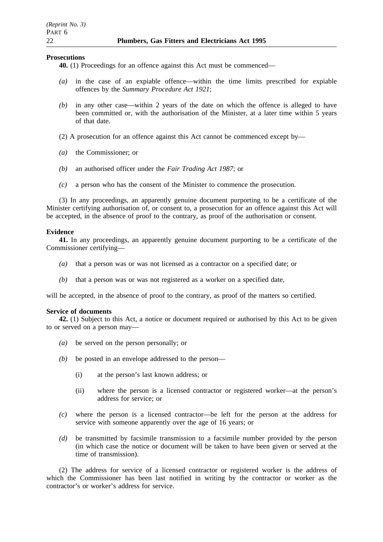#### **Prosecutions**

- **40.** (1) Proceedings for an offence against this Act must be commenced—
- *(a)* in the case of an expiable offence—within the time limits prescribed for expiable offences by the *Summary Procedure Act 1921*;
- *(b)* in any other case—within 2 years of the date on which the offence is alleged to have been committed or, with the authorisation of the Minister, at a later time within 5 years of that date.
- (2) A prosecution for an offence against this Act cannot be commenced except by—
- *(a)* the Commissioner; or
- *(b)* an authorised officer under the *Fair Trading Act 1987*; or
- *(c)* a person who has the consent of the Minister to commence the prosecution.

(3) In any proceedings, an apparently genuine document purporting to be a certificate of the Minister certifying authorisation of, or consent to, a prosecution for an offence against this Act will be accepted, in the absence of proof to the contrary, as proof of the authorisation or consent.

### **Evidence**

**41.** In any proceedings, an apparently genuine document purporting to be a certificate of the Commissioner certifying—

- *(a)* that a person was or was not licensed as a contractor on a specified date; or
- *(b)* that a person was or was not registered as a worker on a specified date,

will be accepted, in the absence of proof to the contrary, as proof of the matters so certified.

### **Service of documents**

**42.** (1) Subject to this Act, a notice or document required or authorised by this Act to be given to or served on a person may—

- *(a)* be served on the person personally; or
- *(b)* be posted in an envelope addressed to the person—
	- (i) at the person's last known address; or
	- (ii) where the person is a licensed contractor or registered worker—at the person's address for service; or
- *(c)* where the person is a licensed contractor—be left for the person at the address for service with someone apparently over the age of 16 years; or
- *(d)* be transmitted by facsimile transmission to a facsimile number provided by the person (in which case the notice or document will be taken to have been given or served at the time of transmission).

(2) The address for service of a licensed contractor or registered worker is the address of which the Commissioner has been last notified in writing by the contractor or worker as the contractor's or worker's address for service.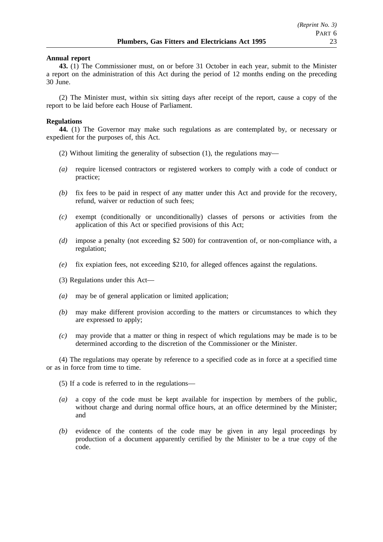#### **Annual report**

**43.** (1) The Commissioner must, on or before 31 October in each year, submit to the Minister a report on the administration of this Act during the period of 12 months ending on the preceding 30 June.

(2) The Minister must, within six sitting days after receipt of the report, cause a copy of the report to be laid before each House of Parliament.

#### **Regulations**

**44.** (1) The Governor may make such regulations as are contemplated by, or necessary or expedient for the purposes of, this Act.

- (2) Without limiting the generality of subsection (1), the regulations may—
- *(a)* require licensed contractors or registered workers to comply with a code of conduct or practice;
- *(b)* fix fees to be paid in respect of any matter under this Act and provide for the recovery, refund, waiver or reduction of such fees;
- *(c)* exempt (conditionally or unconditionally) classes of persons or activities from the application of this Act or specified provisions of this Act;
- *(d)* impose a penalty (not exceeding \$2 500) for contravention of, or non-compliance with, a regulation;
- *(e)* fix expiation fees, not exceeding \$210, for alleged offences against the regulations.
- (3) Regulations under this Act—
- *(a)* may be of general application or limited application;
- *(b)* may make different provision according to the matters or circumstances to which they are expressed to apply;
- *(c)* may provide that a matter or thing in respect of which regulations may be made is to be determined according to the discretion of the Commissioner or the Minister.

(4) The regulations may operate by reference to a specified code as in force at a specified time or as in force from time to time.

(5) If a code is referred to in the regulations—

- *(a)* a copy of the code must be kept available for inspection by members of the public, without charge and during normal office hours, at an office determined by the Minister; and
- *(b)* evidence of the contents of the code may be given in any legal proceedings by production of a document apparently certified by the Minister to be a true copy of the code.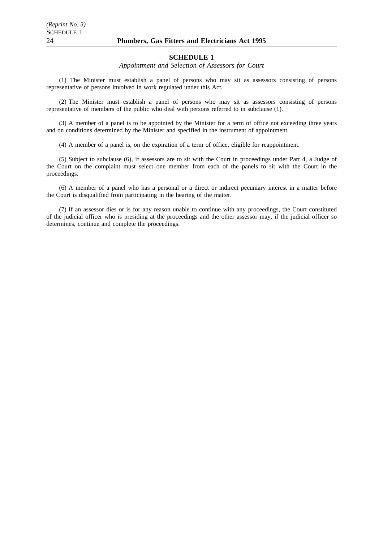#### **SCHEDULE 1**

*Appointment and Selection of Assessors for Court*

(1) The Minister must establish a panel of persons who may sit as assessors consisting of persons representative of persons involved in work regulated under this Act.

(2) The Minister must establish a panel of persons who may sit as assessors consisting of persons representative of members of the public who deal with persons referred to in subclause (1).

(3) A member of a panel is to be appointed by the Minister for a term of office not exceeding three years and on conditions determined by the Minister and specified in the instrument of appointment.

(4) A member of a panel is, on the expiration of a term of office, eligible for reappointment.

(5) Subject to subclause (6), if assessors are to sit with the Court in proceedings under Part 4, a Judge of the Court on the complaint must select one member from each of the panels to sit with the Court in the proceedings.

(6) A member of a panel who has a personal or a direct or indirect pecuniary interest in a matter before the Court is disqualified from participating in the hearing of the matter.

(7) If an assessor dies or is for any reason unable to continue with any proceedings, the Court constituted of the judicial officer who is presiding at the proceedings and the other assessor may, if the judicial officer so determines, continue and complete the proceedings.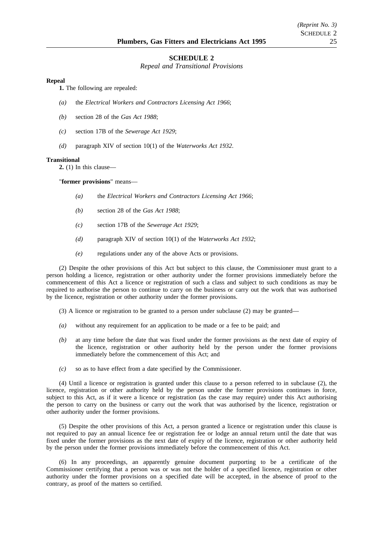#### **SCHEDULE 2**

*Repeal and Transitional Provisions*

#### **Repeal**

**1.** The following are repealed:

- *(a)* the *Electrical Workers and Contractors Licensing Act 1966*;
- *(b)* section 28 of the *Gas Act 1988*;
- *(c)* section 17B of the *Sewerage Act 1929*;
- *(d)* paragraph XIV of section 10(1) of the *Waterworks Act 1932*.

#### **Transitional**

**2.** (1) In this clause—

"**former provisions**" means—

- *(a)* the *Electrical Workers and Contractors Licensing Act 1966*;
- *(b)* section 28 of the *Gas Act 1988*;
- *(c)* section 17B of the *Sewerage Act 1929*;
- *(d)* paragraph XIV of section 10(1) of the *Waterworks Act 1932*;
- *(e)* regulations under any of the above Acts or provisions.

(2) Despite the other provisions of this Act but subject to this clause, the Commissioner must grant to a person holding a licence, registration or other authority under the former provisions immediately before the commencement of this Act a licence or registration of such a class and subject to such conditions as may be required to authorise the person to continue to carry on the business or carry out the work that was authorised by the licence, registration or other authority under the former provisions.

- $(3)$  A licence or registration to be granted to a person under subclause  $(2)$  may be granted—
- *(a)* without any requirement for an application to be made or a fee to be paid; and
- *(b)* at any time before the date that was fixed under the former provisions as the next date of expiry of the licence, registration or other authority held by the person under the former provisions immediately before the commencement of this Act; and
- *(c)* so as to have effect from a date specified by the Commissioner.

(4) Until a licence or registration is granted under this clause to a person referred to in subclause (2), the licence, registration or other authority held by the person under the former provisions continues in force, subject to this Act, as if it were a licence or registration (as the case may require) under this Act authorising the person to carry on the business or carry out the work that was authorised by the licence, registration or other authority under the former provisions.

(5) Despite the other provisions of this Act, a person granted a licence or registration under this clause is not required to pay an annual licence fee or registration fee or lodge an annual return until the date that was fixed under the former provisions as the next date of expiry of the licence, registration or other authority held by the person under the former provisions immediately before the commencement of this Act.

(6) In any proceedings, an apparently genuine document purporting to be a certificate of the Commissioner certifying that a person was or was not the holder of a specified licence, registration or other authority under the former provisions on a specified date will be accepted, in the absence of proof to the contrary, as proof of the matters so certified.